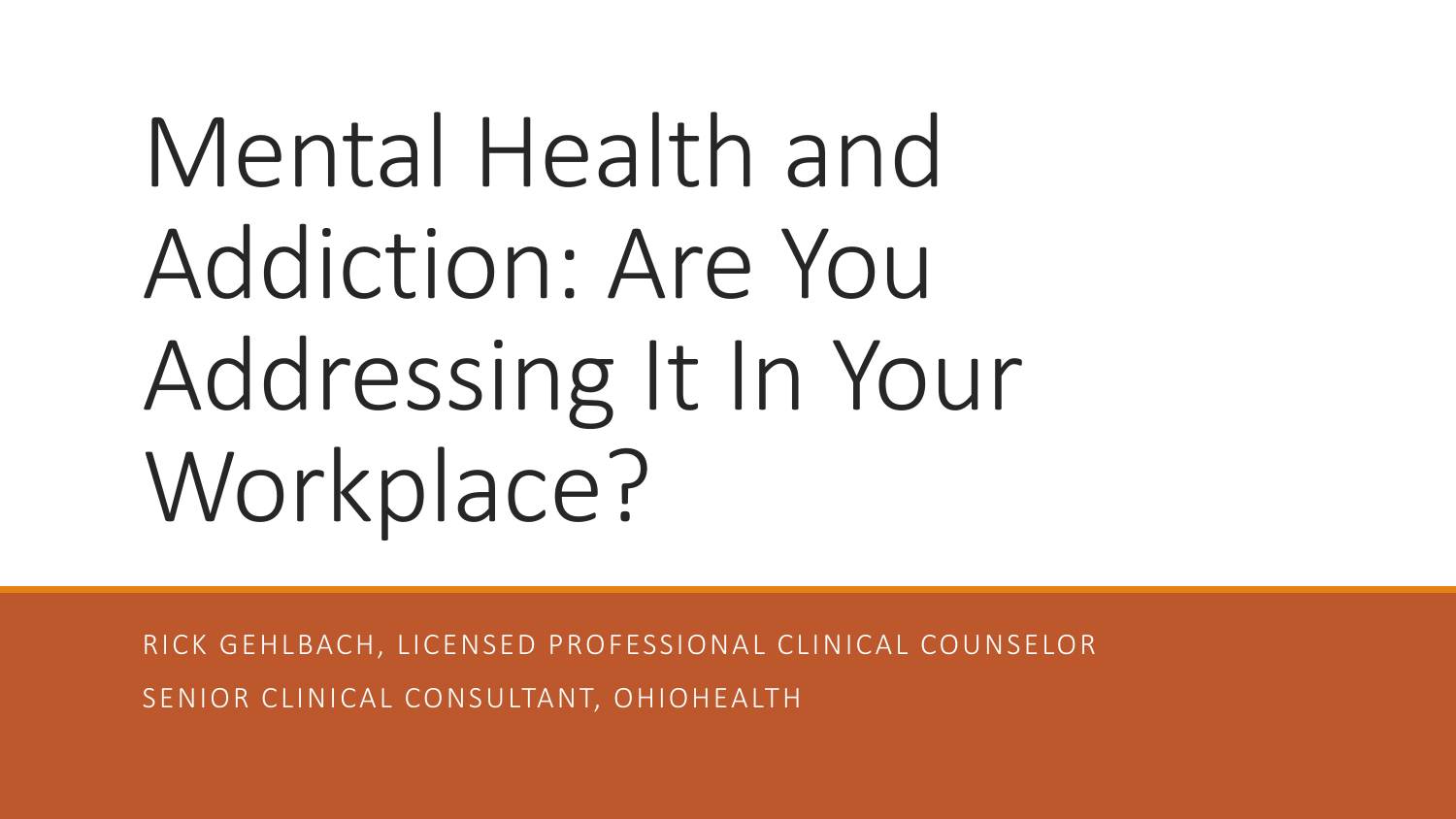# Mental Health and Addiction: Are You Addressing It In Your Workplace?

RICK GEHLBACH, LICENSED PROFESSIONAL CLINICAL COUNSELOR SENIOR CLINICAL CONSULTANT, OHIOHEALTH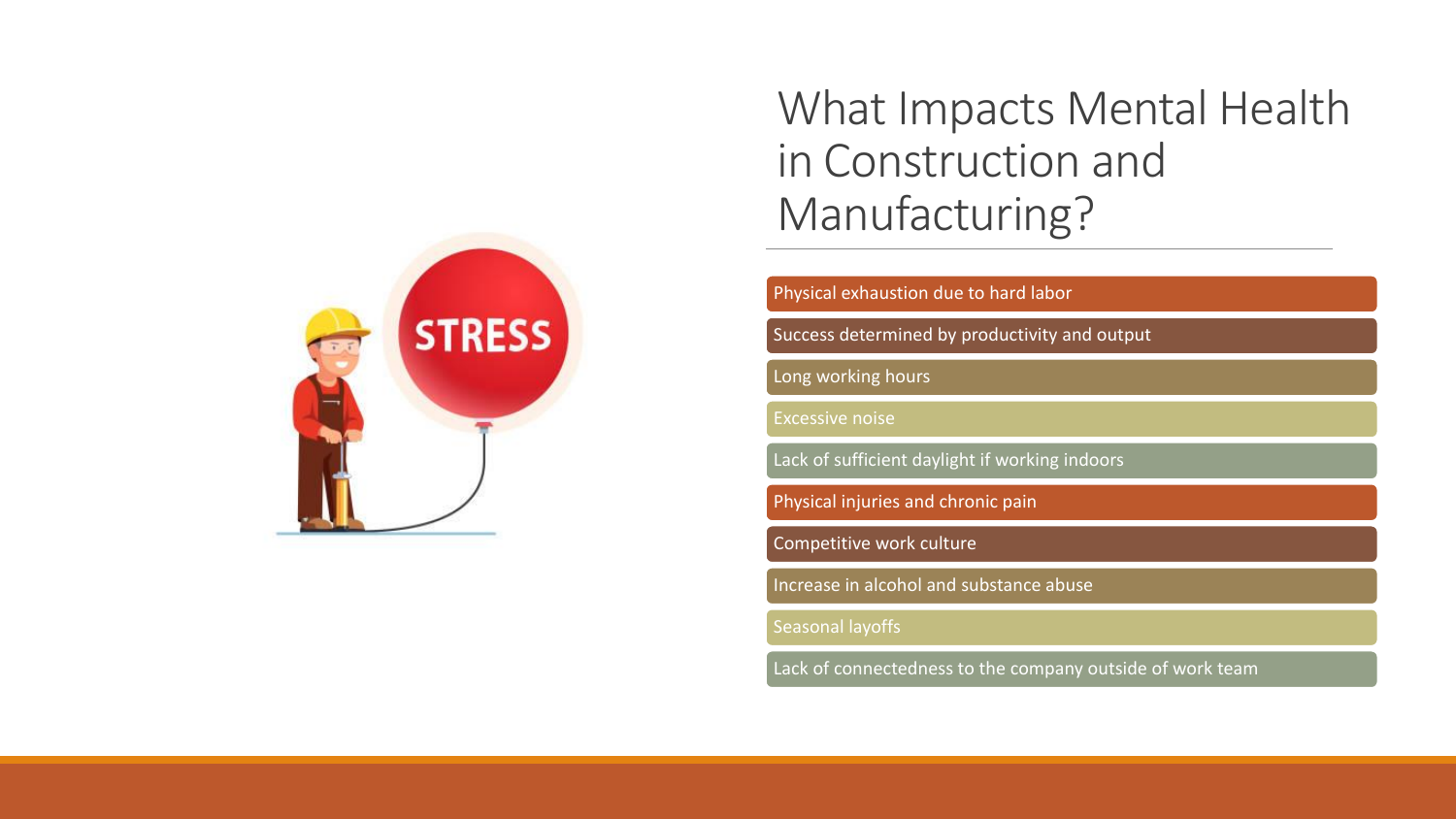

#### What Impacts Mental Health in Construction and Manufacturing?

Physical exhaustion due to hard labor

Success determined by productivity and output

Long working hours

Excessive noise

Lack of sufficient daylight if working indoors

Physical injuries and chronic pain

Competitive work culture

Increase in alcohol and substance abuse

Seasonal layoffs

Lack of connectedness to the company outside of work team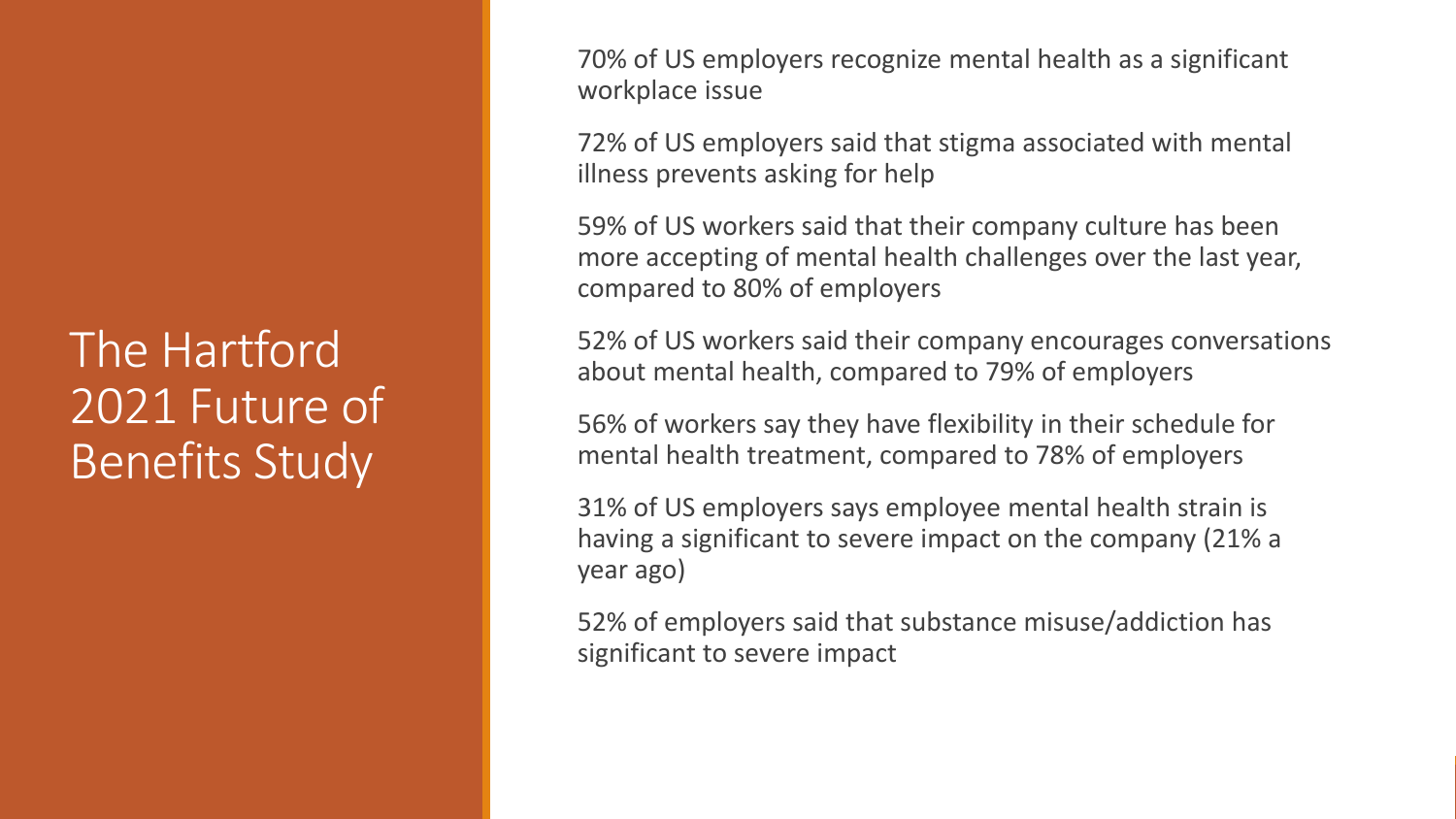#### The Hartford 2021 Future of Benefits Study

70% of US employers recognize mental health as a significant workplace issue

72% of US employers said that stigma associated with mental illness prevents asking for help

59% of US workers said that their company culture has been more accepting of mental health challenges over the last year, compared to 80% of employers

52% of US workers said their company encourages conversations about mental health, compared to 79% of employers

56% of workers say they have flexibility in their schedule for mental health treatment, compared to 78% of employers

31% of US employers says employee mental health strain is having a significant to severe impact on the company (21% a year ago)

52% of employers said that substance misuse/addiction has significant to severe impact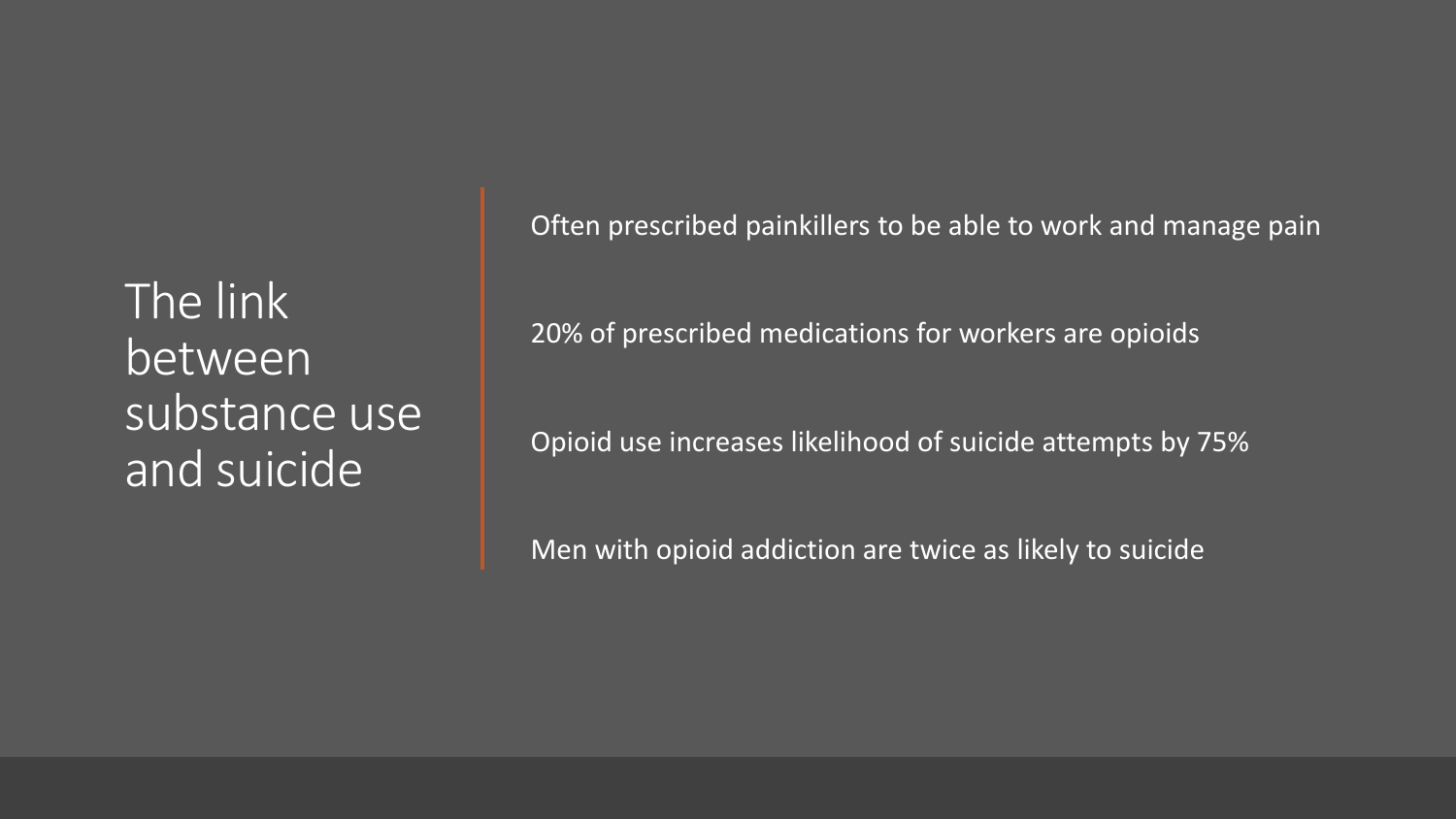The link between substance use and suicide

Often prescribed painkillers to be able to work and manage pain

20% of prescribed medications for workers are opioids

Opioid use increases likelihood of suicide attempts by 75%

Men with opioid addiction are twice as likely to suicide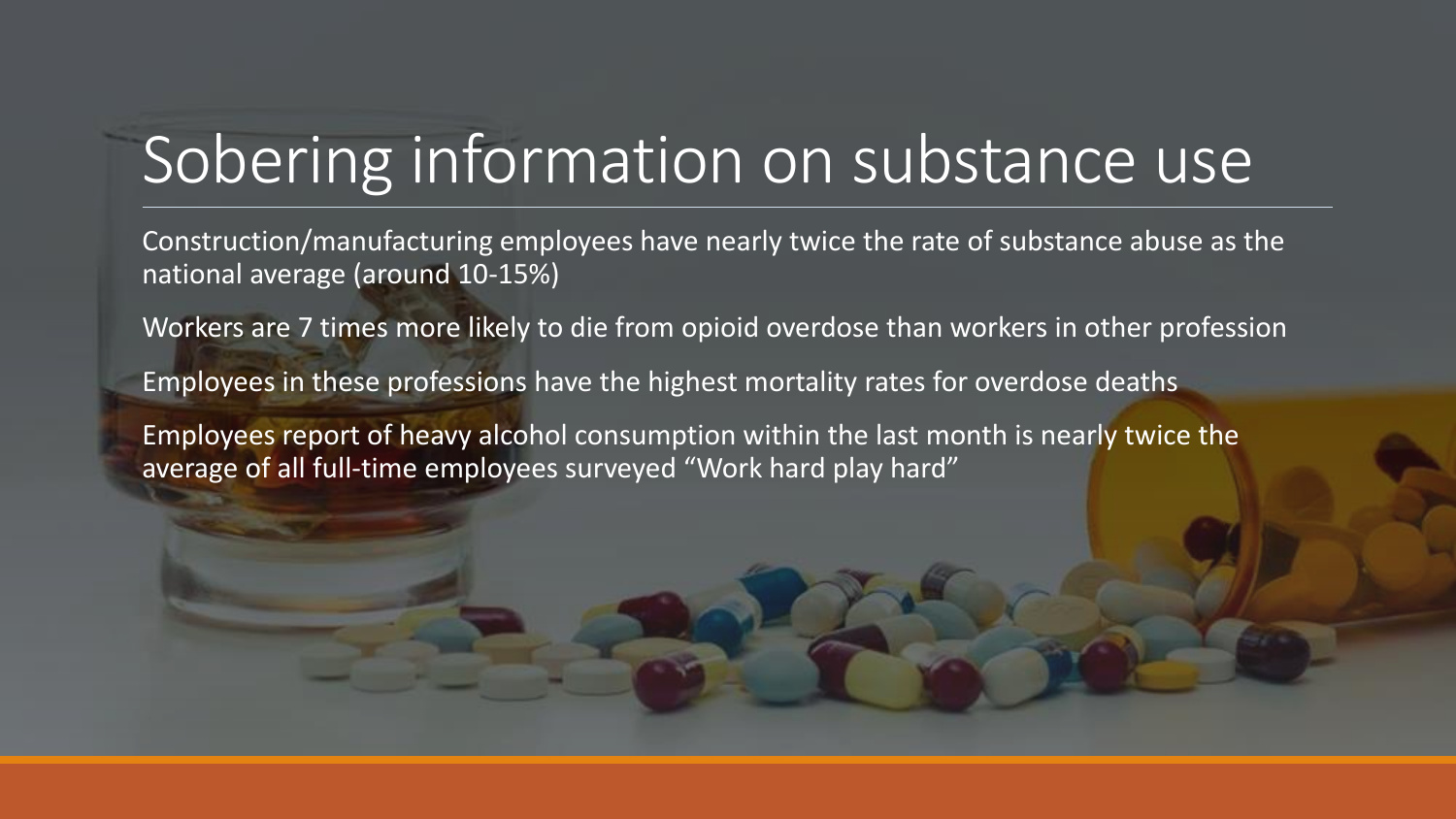### Sobering information on substance use

Construction/manufacturing employees have nearly twice the rate of substance abuse as the national average (around 10-15%)

Workers are 7 times more likely to die from opioid overdose than workers in other profession

Employees in these professions have the highest mortality rates for overdose deaths

Employees report of heavy alcohol consumption within the last month is nearly twice the average of all full-time employees surveyed "Work hard play hard"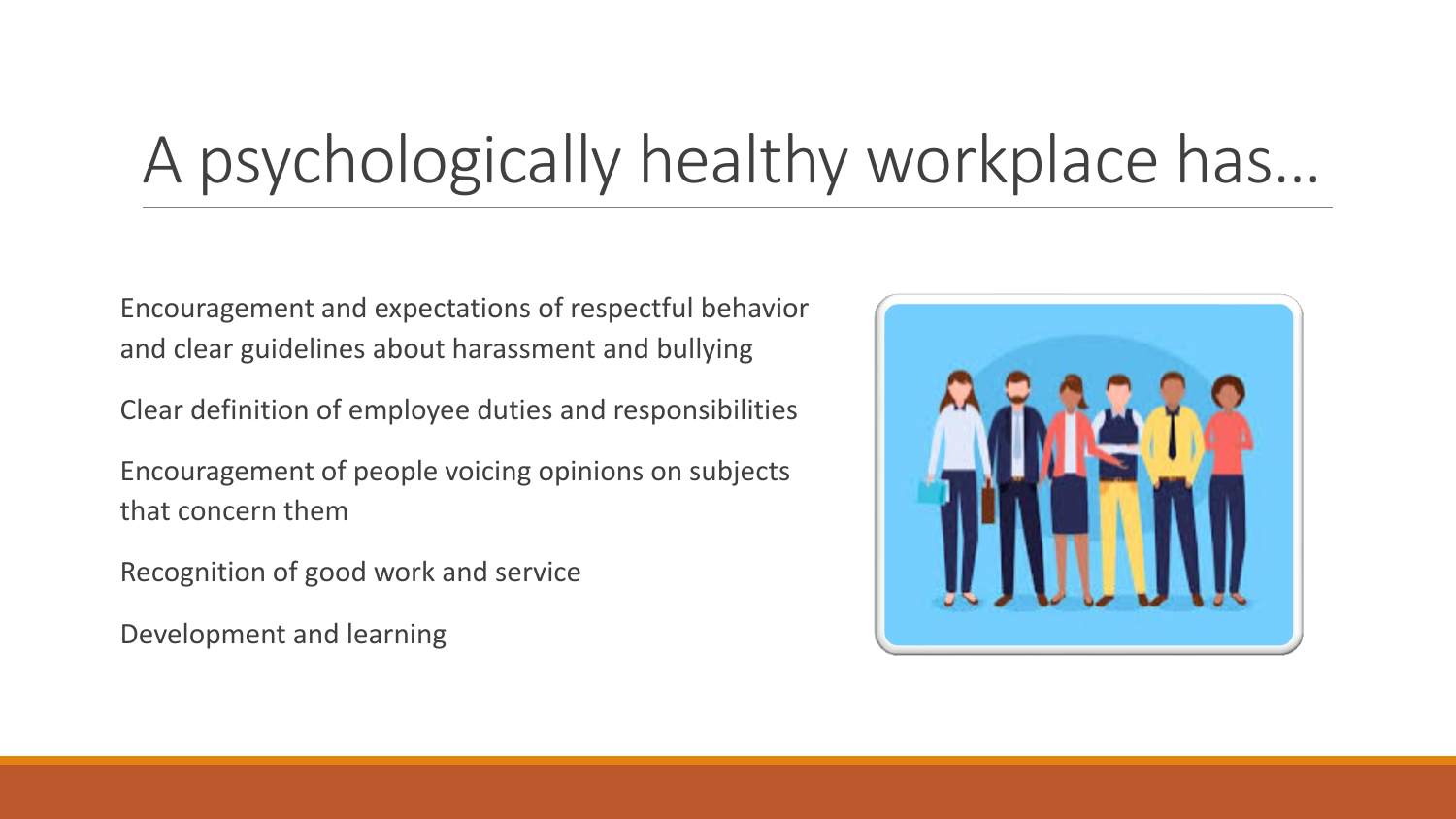### A psychologically healthy workplace has…

Encouragement and expectations of respectful behavior and clear guidelines about harassment and bullying

Clear definition of employee duties and responsibilities

Encouragement of people voicing opinions on subjects that concern them

Recognition of good work and service

Development and learning

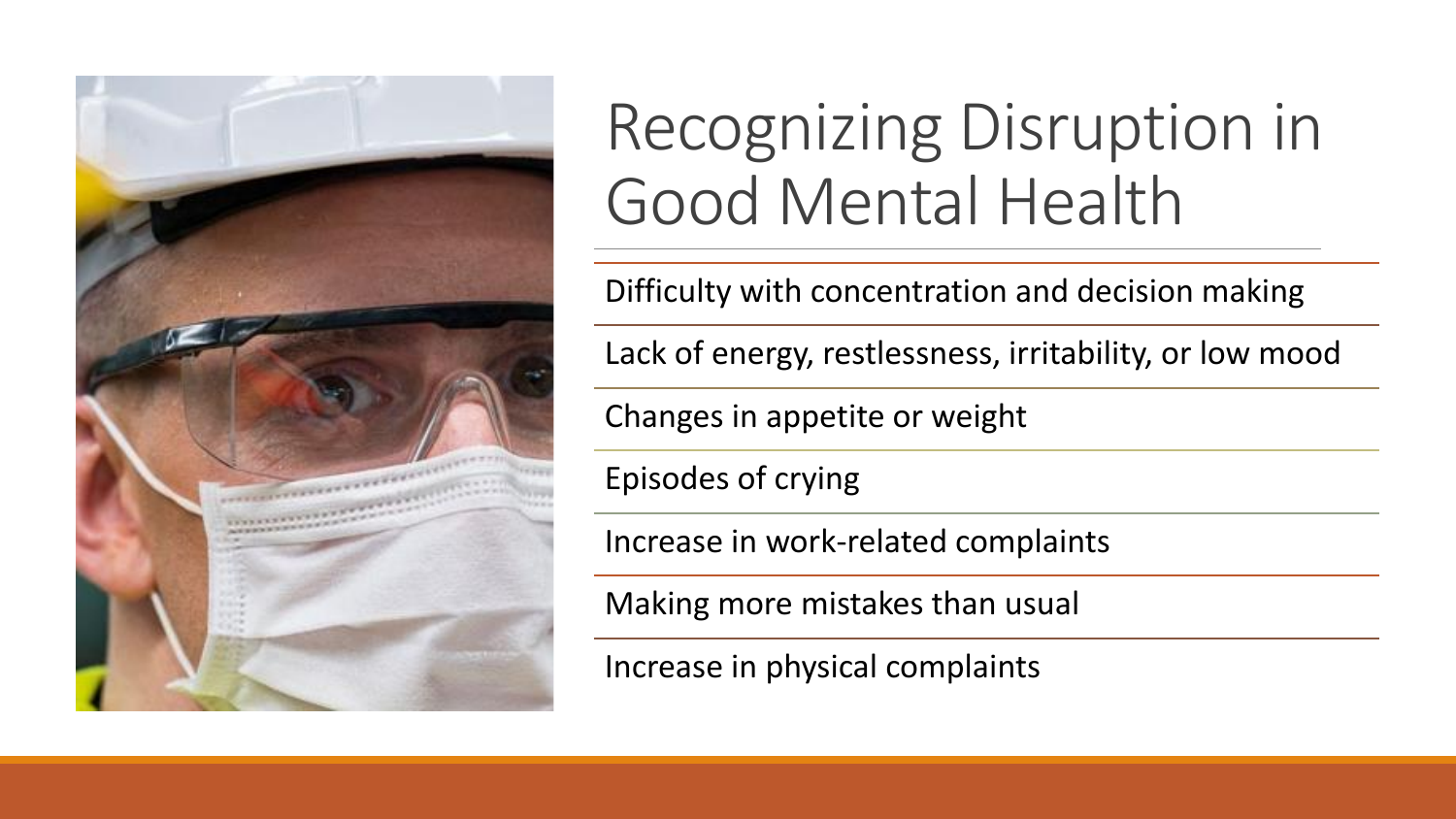

### Recognizing Disruption in Good Mental Health

Difficulty with concentration and decision making

Lack of energy, restlessness, irritability, or low mood

Changes in appetite or weight

Episodes of crying

Increase in work-related complaints

Making more mistakes than usual

Increase in physical complaints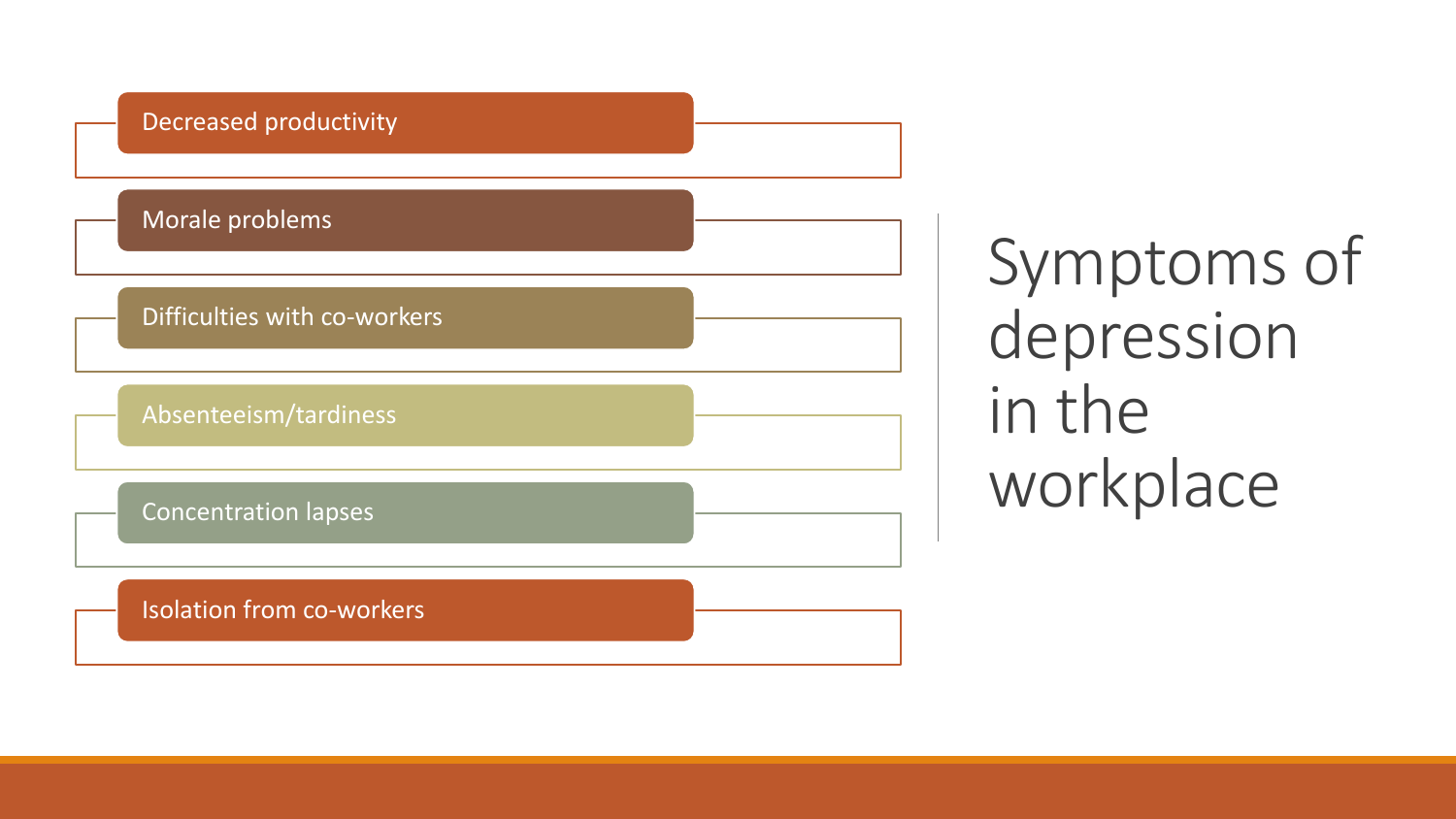

Symptoms of depression in the workplace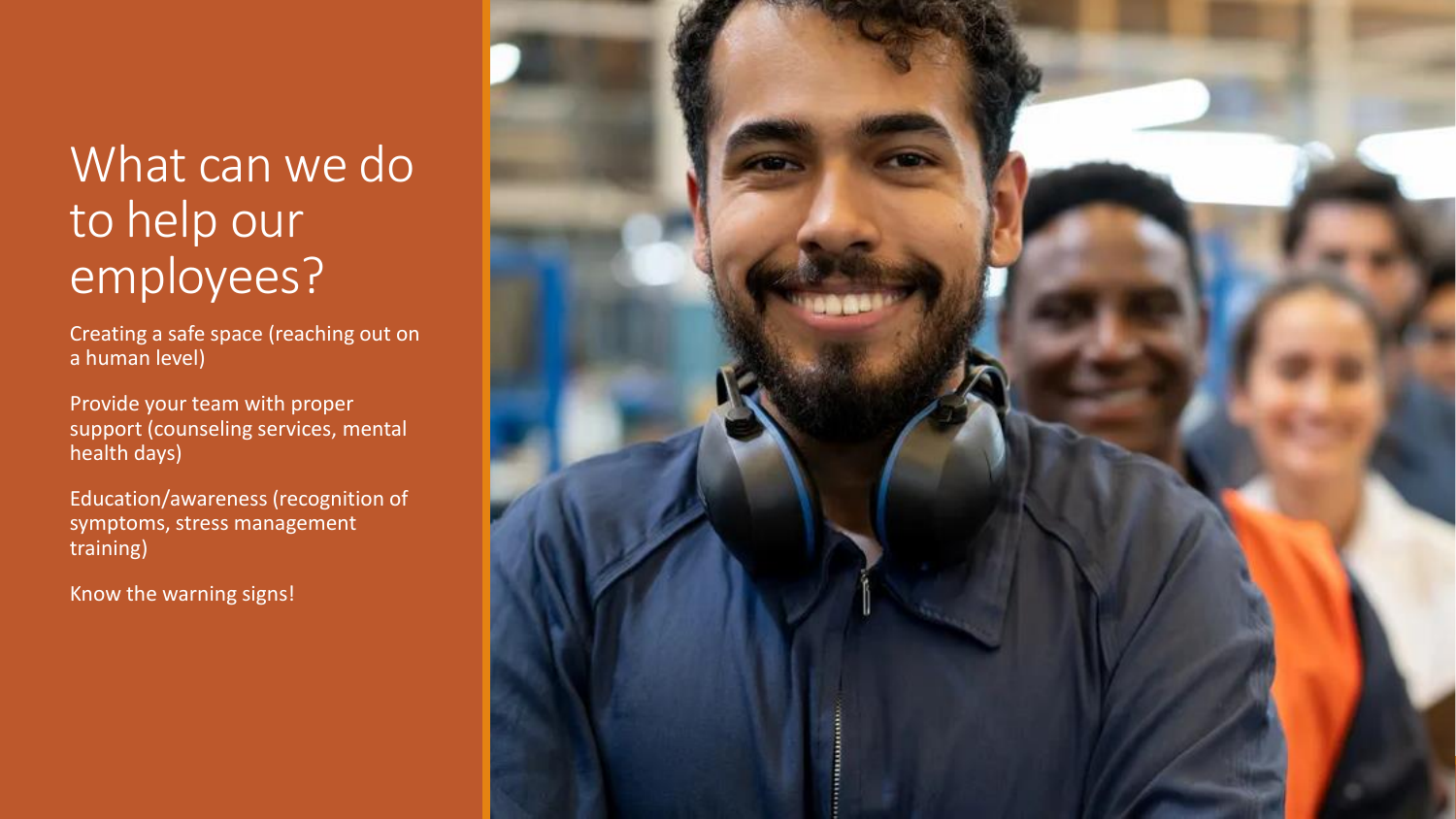#### What can we do to help our employees?

Creating a safe space (reaching out on a human level)

Provide your team with proper support (counseling services, mental health days)

Education/awareness (recognition of symptoms, stress management training)

Know the warning signs!

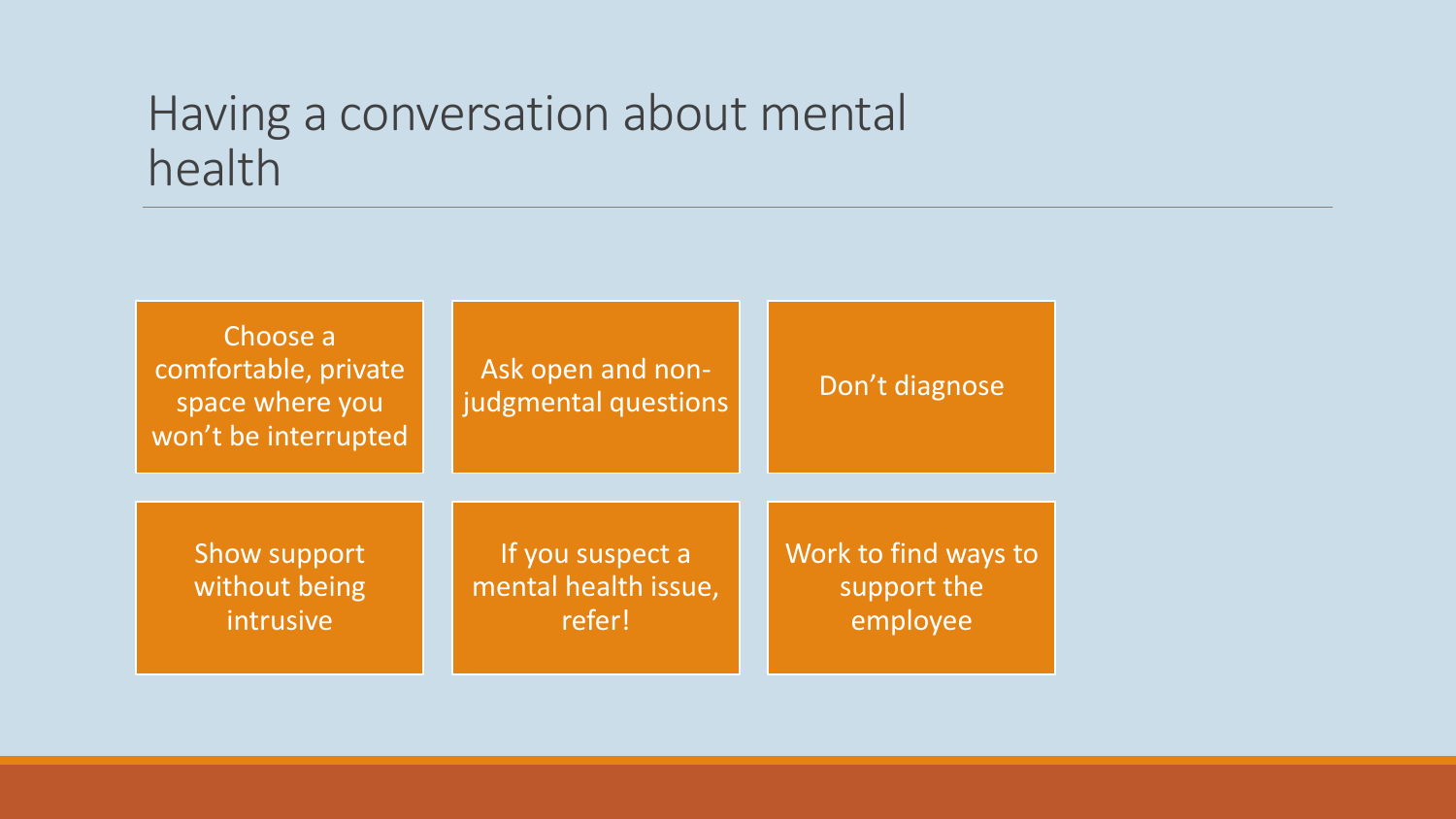#### Having a conversation about mental health

| Choose a<br>comfortable, private<br>space where you<br>won't be interrupted | Ask open and non-<br>judgmental questions | Don't diagnose       |
|-----------------------------------------------------------------------------|-------------------------------------------|----------------------|
| Show support                                                                | If you suspect a                          | Work to find ways to |
| without being                                                               | mental health issue,                      | support the          |
| intrusive                                                                   | refer!                                    | employee             |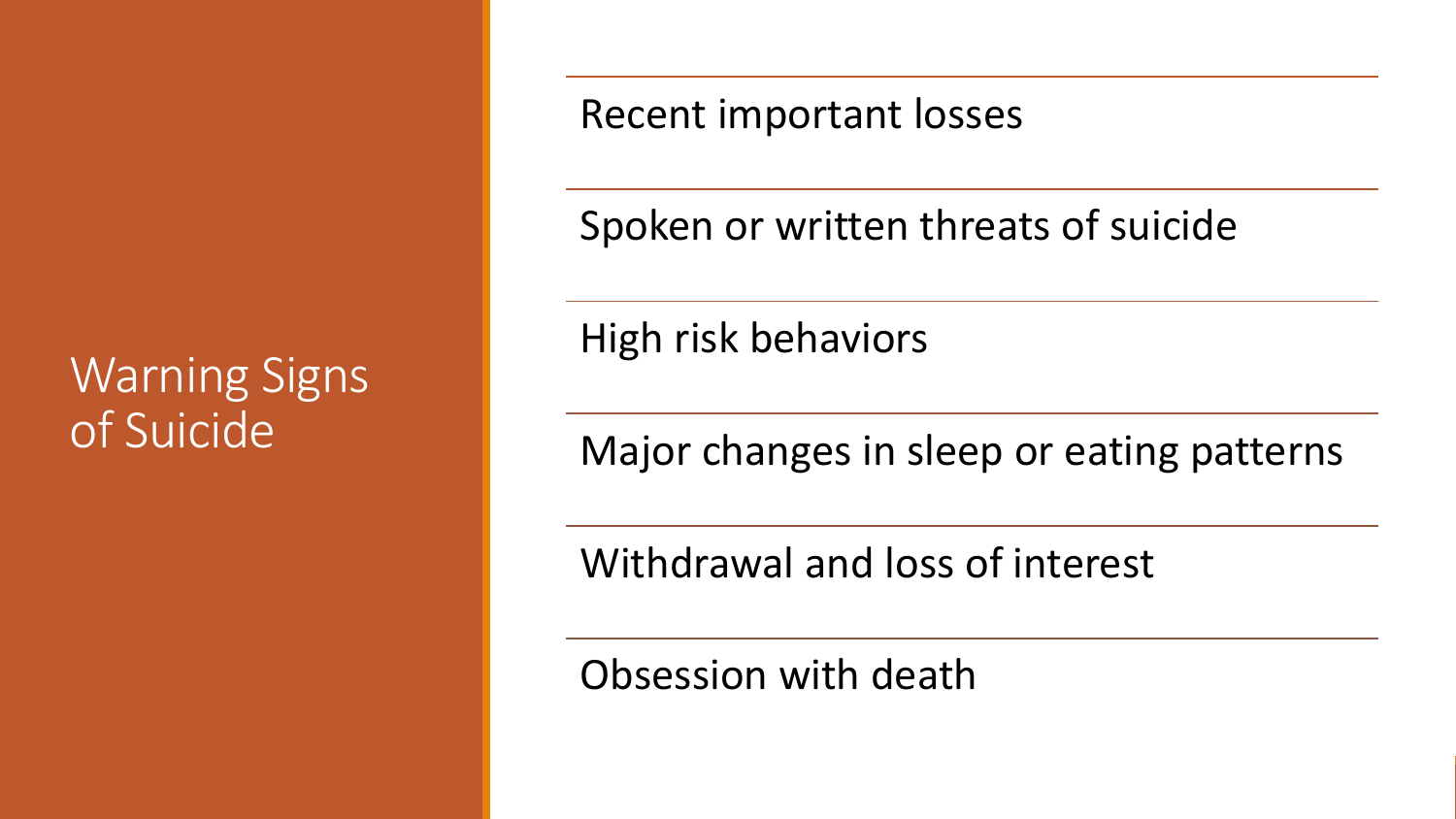#### Warning Signs of Suicide

Recent important losses

Spoken or written threats of suicide

High risk behaviors

Major changes in sleep or eating patterns

Withdrawal and loss of interest

Obsession with death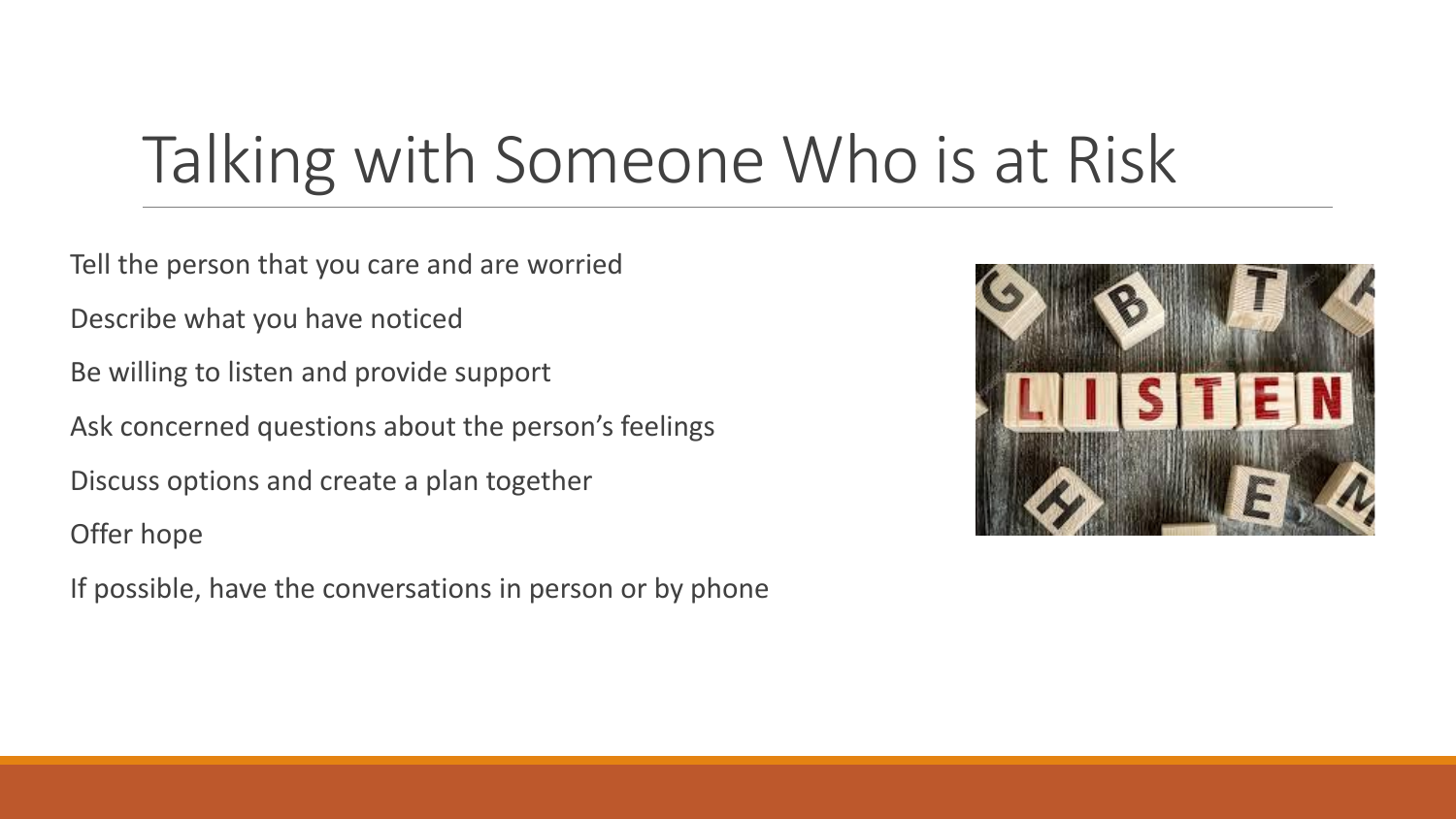### Talking with Someone Who is at Risk

Tell the person that you care and are worried

Describe what you have noticed

Be willing to listen and provide support

Ask concerned questions about the person's feelings

Discuss options and create a plan together

Offer hope

If possible, have the conversations in person or by phone

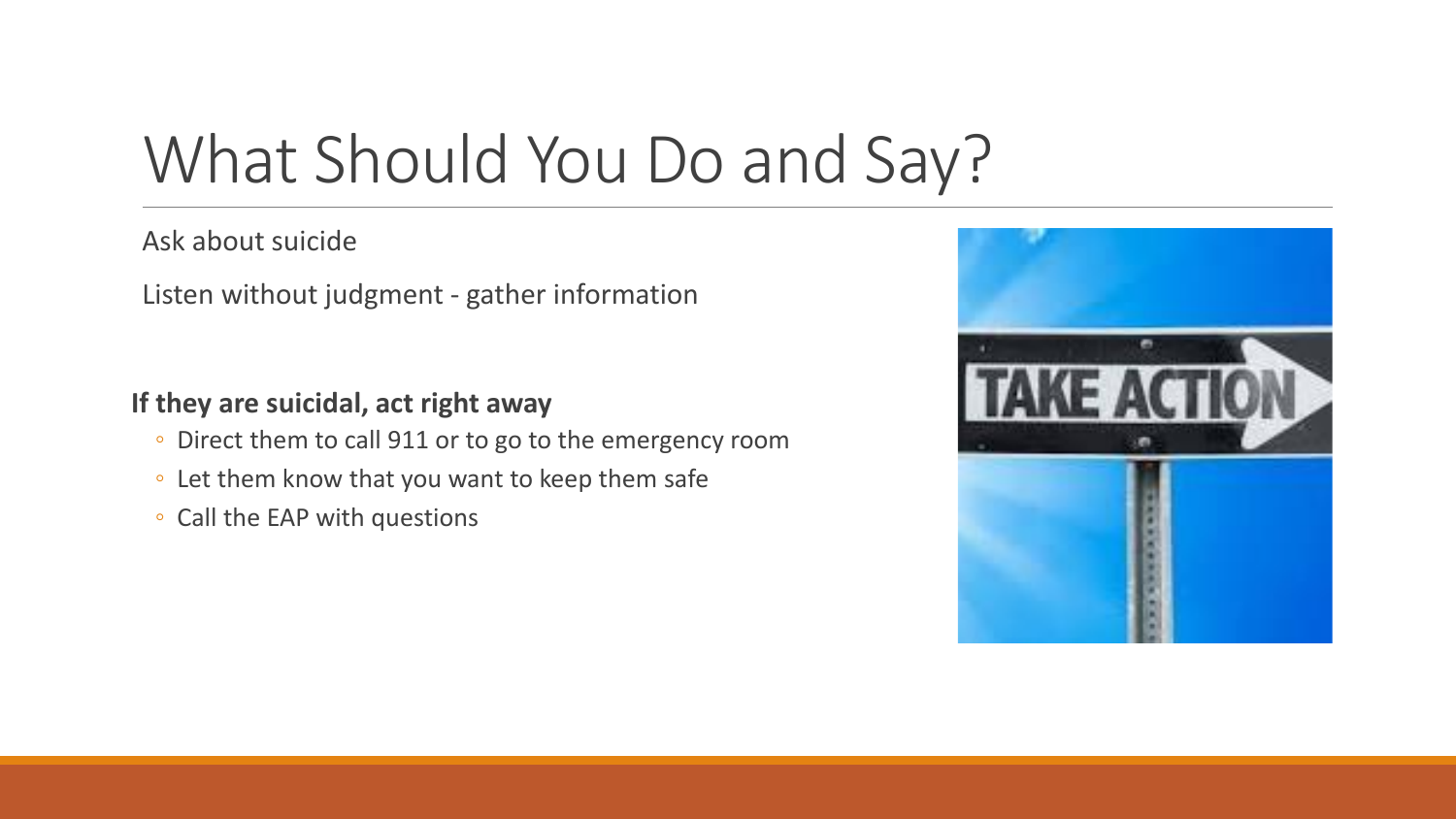### What Should You Do and Say?

Ask about suicide

Listen without judgment - gather information

**If they are suicidal, act right away**

- Direct them to call 911 or to go to the emergency room
- Let them know that you want to keep them safe
- Call the EAP with questions

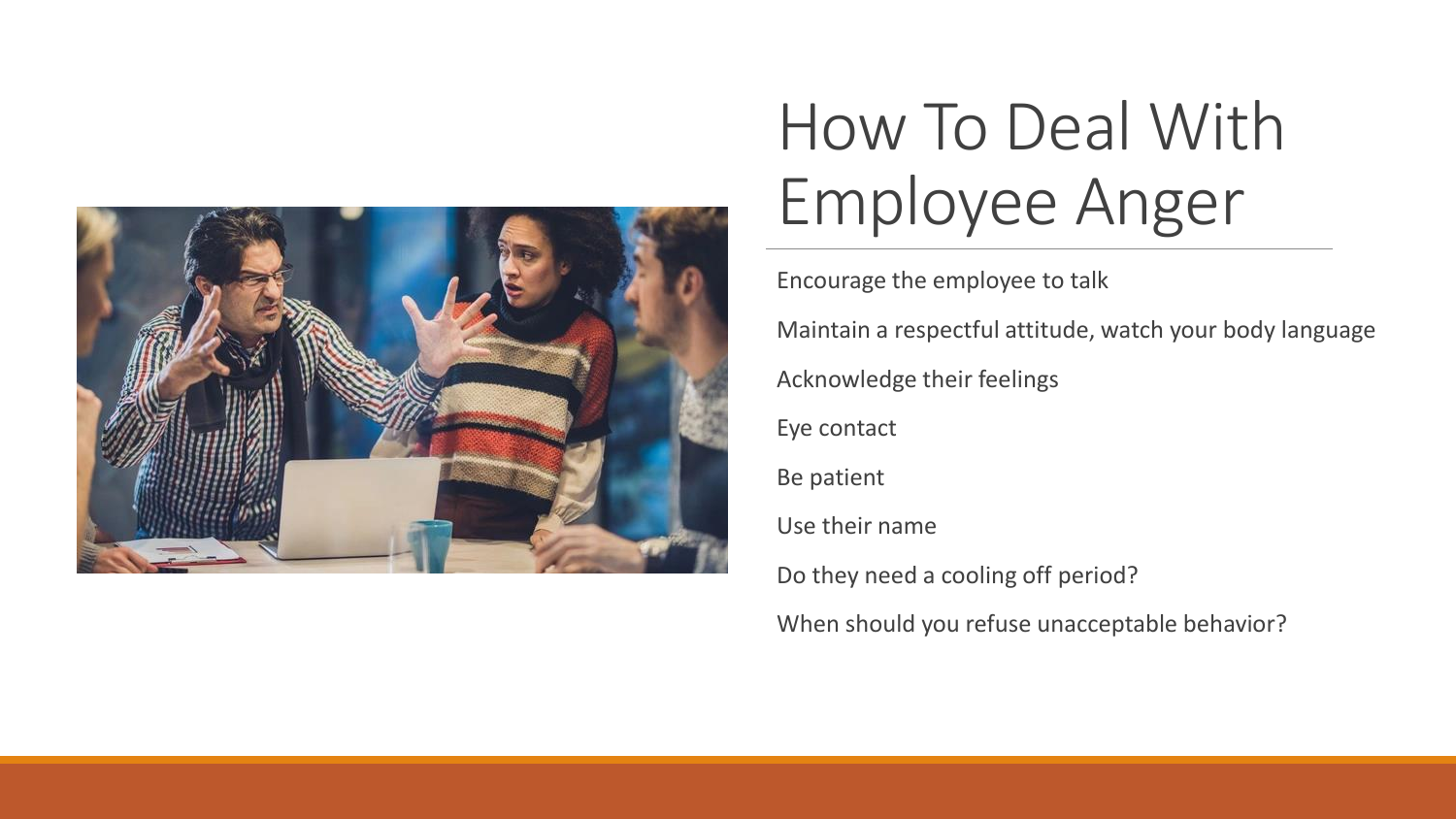

### How To Deal With Employee Anger

Encourage the employee to talk Maintain a respectful attitude, watch your body language Acknowledge their feelings Eye contact Be patient Use their name Do they need a cooling off period? When should you refuse unacceptable behavior?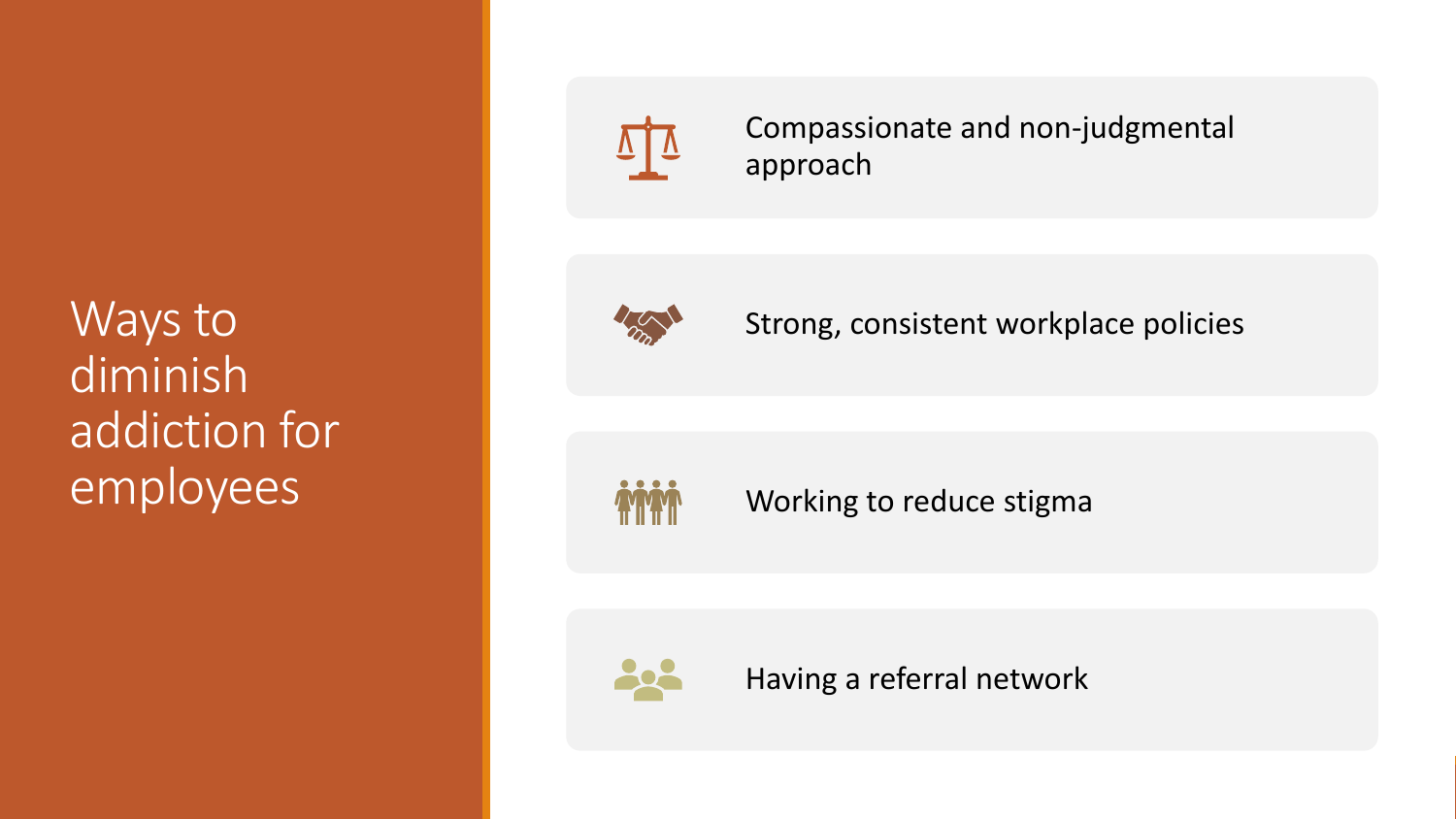Ways to diminish addiction for employees



Compassionate and non-judgmental approach



Strong, consistent workplace policies

Working to reduce stigma



Having a referral network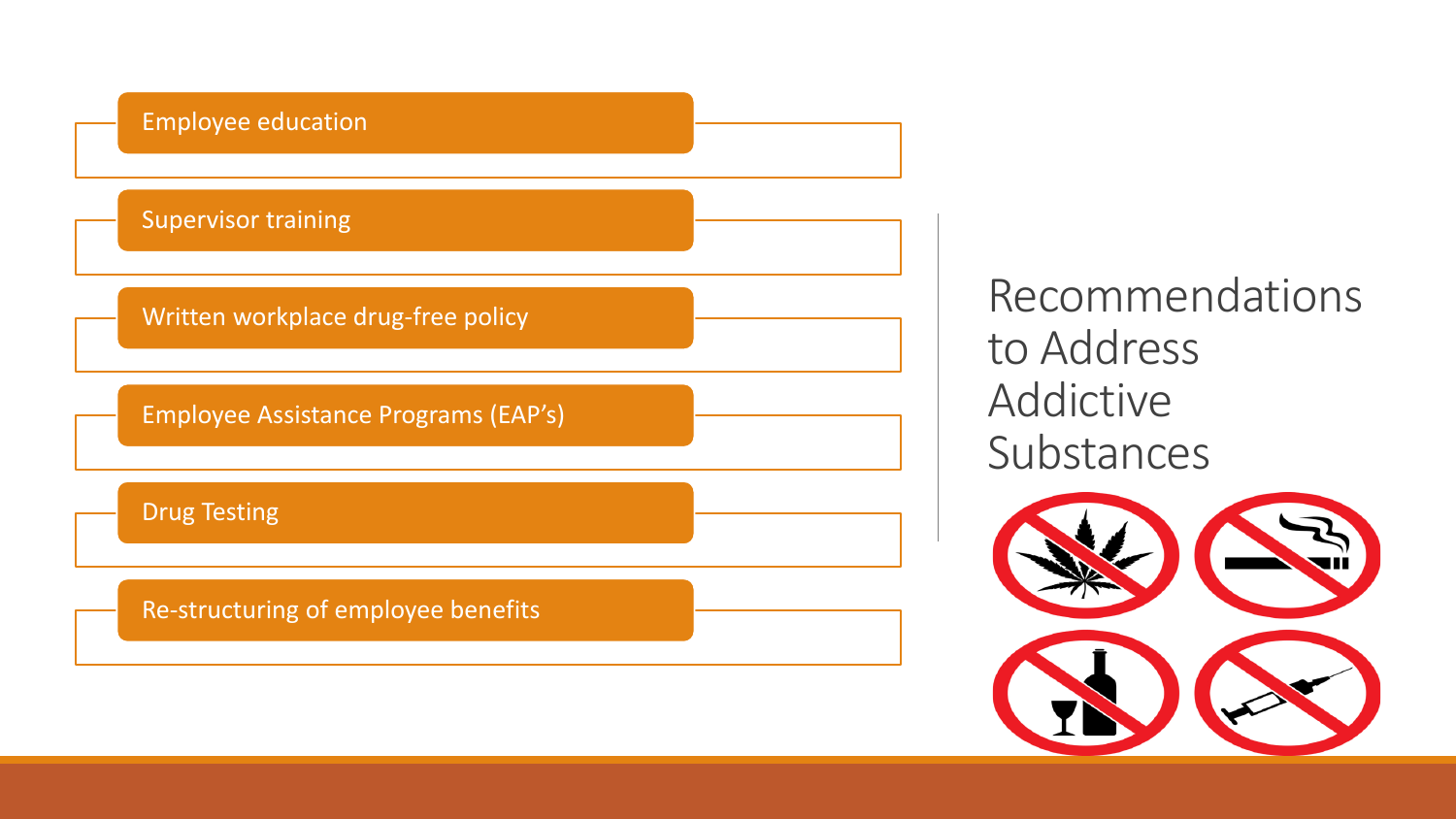

Recommendations to Address Addictive Substances

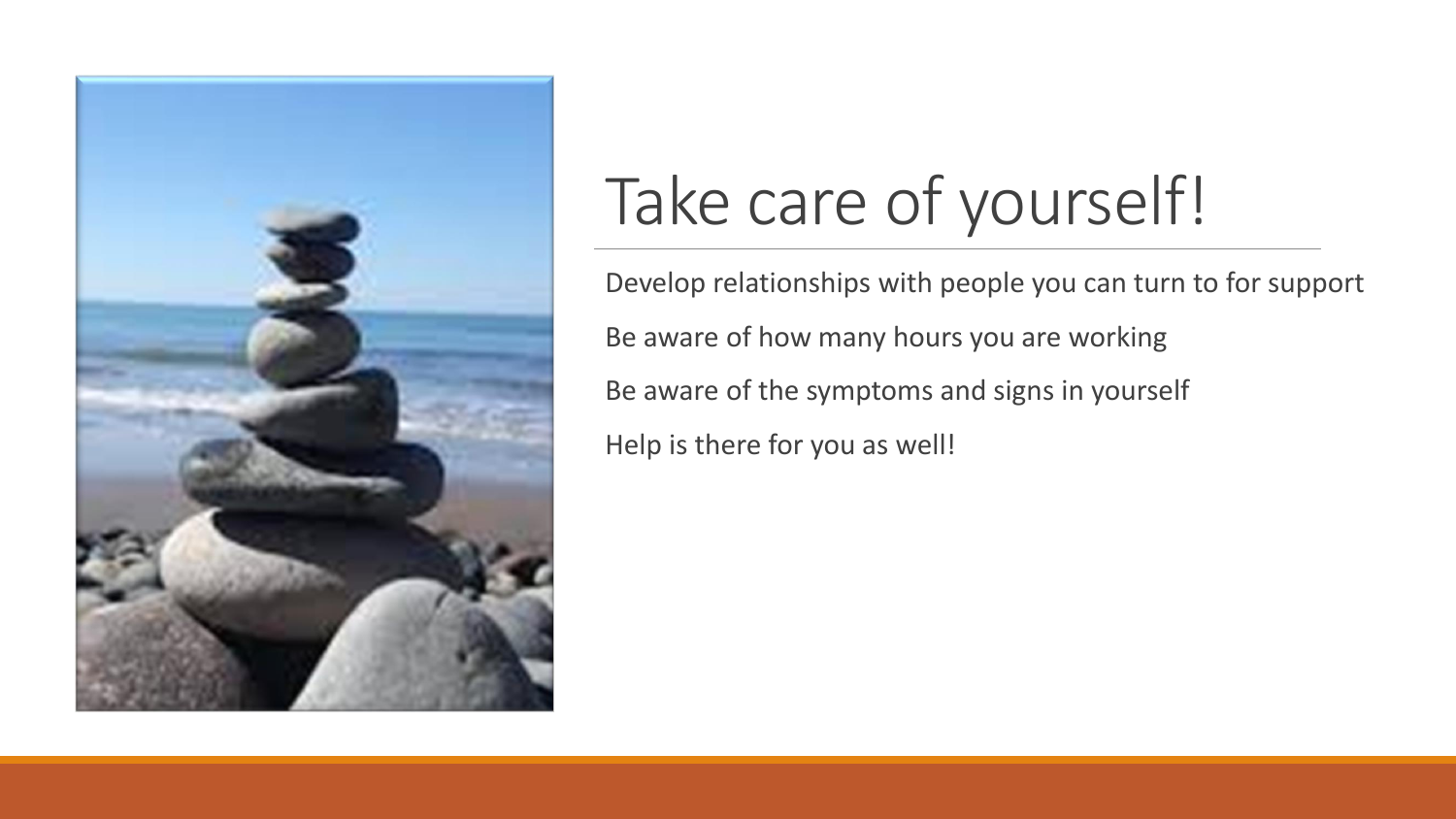

## Take care of yourself!

Develop relationships with people you can turn to for support Be aware of how many hours you are working Be aware of the symptoms and signs in yourself Help is there for you as well!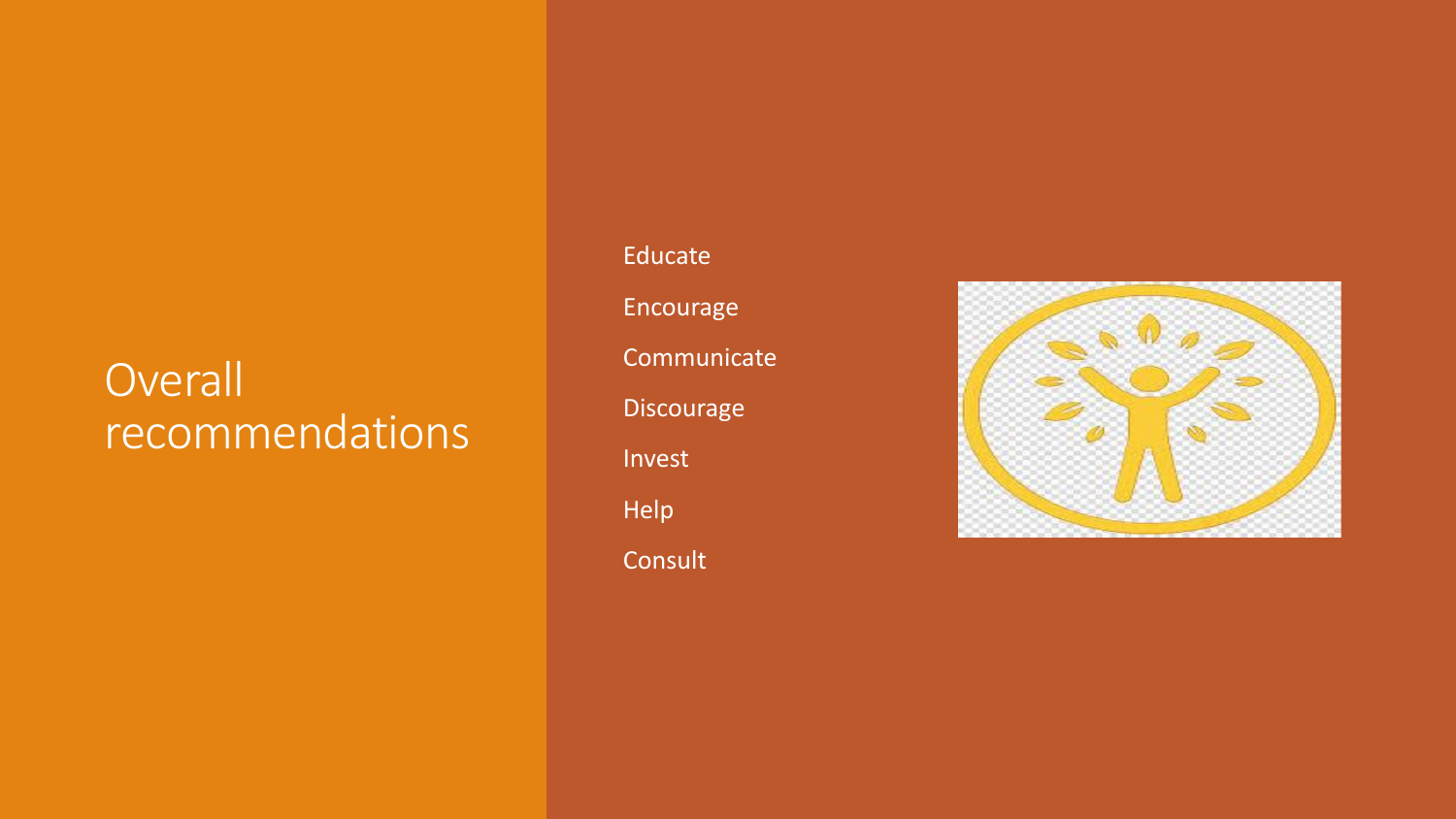#### **Overall** recommendations

Educate

Encourage

**Communicate** 

Discourage

Invest

Help

Consult